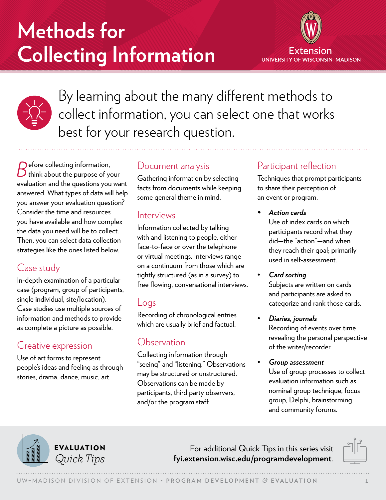# **Methods for Collecting Information**





By learning about the many different methods to collect information, you can select one that works best for your research question.

*B*efore collecting information, think about the purpose of your evaluation and the questions you want answered. What types of data will help you answer your evaluation question? Consider the time and resources you have available and how complex the data you need will be to collect. Then, you can select data collection strategies like the ones listed below.

# Case study

In-depth examination of a particular case (program, group of participants, single individual, site/location). Case studies use multiple sources of information and methods to provide as complete a picture as possible.

# Creative expression

Use of art forms to represent people's ideas and feeling as through stories, drama, dance, music, art.

## Document analysis

Gathering information by selecting facts from documents while keeping some general theme in mind.

#### Interviews

Information collected by talking with and listening to people, either face-to-face or over the telephone or virtual meetings. Interviews range on a continuum from those which are tightly structured (as in a survey) to free flowing, conversational interviews.

#### Logs

Recording of chronological entries which are usually brief and factual.

# **Observation**

Collecting information through "seeing" and "listening." Observations may be structured or unstructured. Observations can be made by participants, third party observers, and/or the program staff.

# Participant reflection

Techniques that prompt participants to share their perception of an event or program.

*• Action cards*

Use of index cards on which participants record what they did—the "action"—and when they reach their goal; primarily used in self-assessment.

• *Card sorting*

Subjects are written on cards and participants are asked to categorize and rank those cards.

- *Diaries, journals* Recording of events over time revealing the personal perspective of the writer/recorder.
- *Group assessment* Use of group processes to collect evaluation information such as nominal group technique, focus group, Delphi, brainstorming and community forums.



For additional Quick Tips in this series visit *Quick Tips* **[fyi.extension.wisc.edu/programdevelopment](https://fyi.extension.wisc.edu/programdevelopment)**.